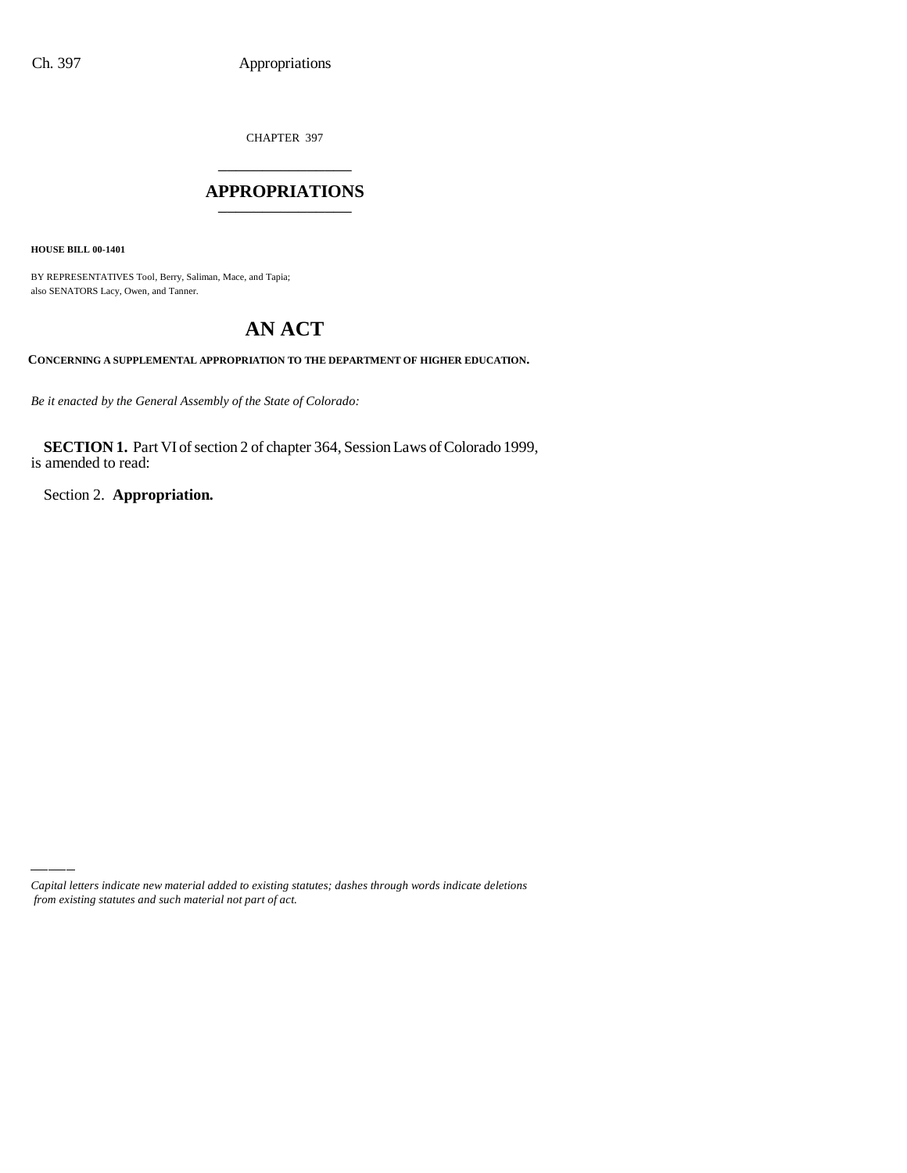CHAPTER 397 \_\_\_\_\_\_\_\_\_\_\_\_\_\_\_

## **APPROPRIATIONS** \_\_\_\_\_\_\_\_\_\_\_\_\_\_\_

**HOUSE BILL 00-1401**

BY REPRESENTATIVES Tool, Berry, Saliman, Mace, and Tapia; also SENATORS Lacy, Owen, and Tanner.

# **AN ACT**

**CONCERNING A SUPPLEMENTAL APPROPRIATION TO THE DEPARTMENT OF HIGHER EDUCATION.**

*Be it enacted by the General Assembly of the State of Colorado:*

**SECTION 1.** Part VI of section 2 of chapter 364, Session Laws of Colorado 1999, is amended to read:

Section 2. **Appropriation.**

*Capital letters indicate new material added to existing statutes; dashes through words indicate deletions from existing statutes and such material not part of act.*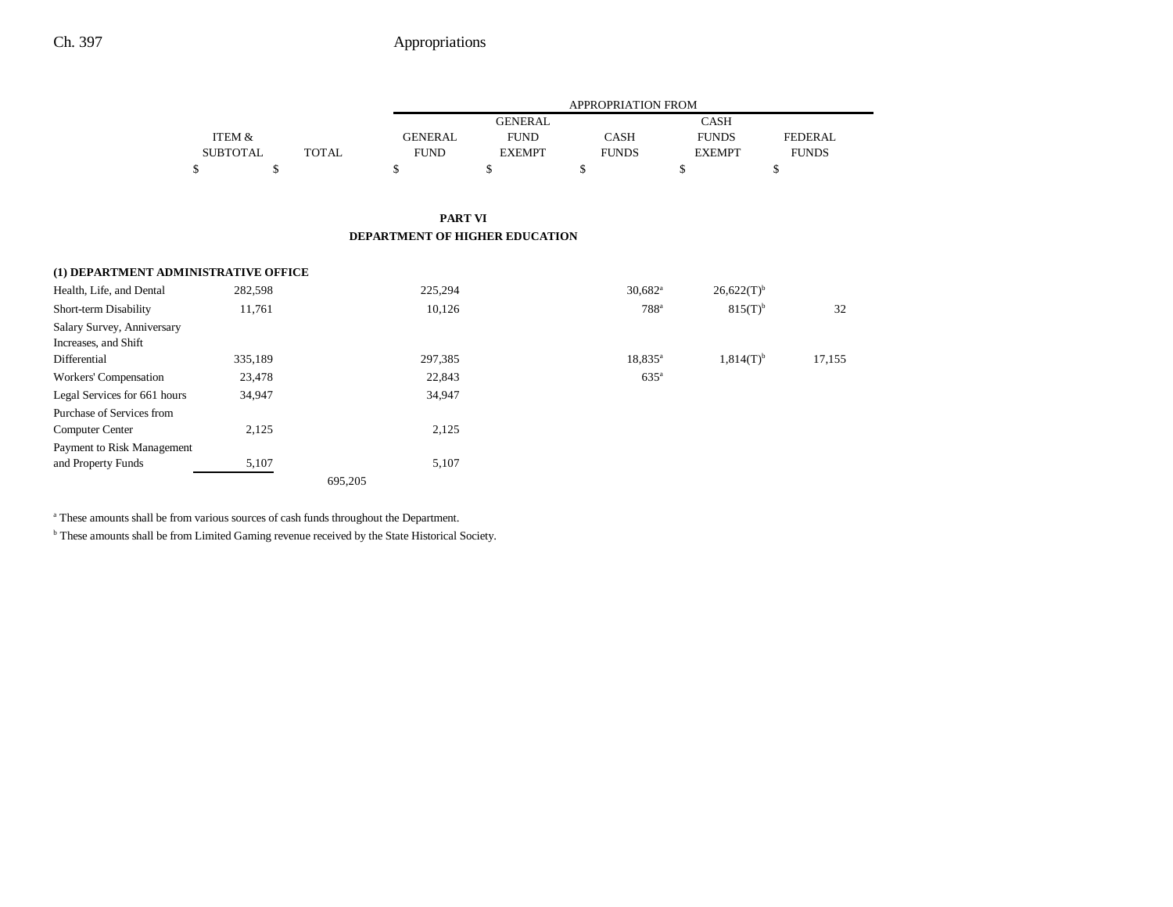|                                      |                 |              |                | <b>APPROPRIATION FROM</b> |                       |                 |                |  |
|--------------------------------------|-----------------|--------------|----------------|---------------------------|-----------------------|-----------------|----------------|--|
|                                      |                 |              |                | <b>GENERAL</b>            |                       | <b>CASH</b>     |                |  |
|                                      | ITEM &          |              | <b>GENERAL</b> | <b>FUND</b>               | CASH                  | <b>FUNDS</b>    | <b>FEDERAL</b> |  |
|                                      | <b>SUBTOTAL</b> | <b>TOTAL</b> | <b>FUND</b>    | <b>EXEMPT</b>             | <b>FUNDS</b>          | <b>EXEMPT</b>   | <b>FUNDS</b>   |  |
|                                      | \$<br>\$        |              | \$             | $\mathbb{S}$              | \$                    | \$              | \$             |  |
|                                      |                 |              | <b>PART VI</b> |                           |                       |                 |                |  |
| DEPARTMENT OF HIGHER EDUCATION       |                 |              |                |                           |                       |                 |                |  |
| (1) DEPARTMENT ADMINISTRATIVE OFFICE |                 |              |                |                           |                       |                 |                |  |
| Health, Life, and Dental             | 282,598         |              | 225,294        |                           | $30,682$ <sup>a</sup> | $26,622(T)^{b}$ |                |  |
| Short-term Disability                | 11,761          |              | 10,126         |                           | $788$ <sup>a</sup>    | $815(T)^{b}$    | 32             |  |
| Salary Survey, Anniversary           |                 |              |                |                           |                       |                 |                |  |
| Increases, and Shift                 |                 |              |                |                           |                       |                 |                |  |
| Differential                         | 335,189         |              | 297,385        |                           | $18,835^{\circ}$      | $1,814(T)^{b}$  | 17,155         |  |
| Workers' Compensation                | 23,478          |              | 22,843         |                           | $635^{\circ}$         |                 |                |  |
| Legal Services for 661 hours         | 34,947          |              | 34,947         |                           |                       |                 |                |  |
| Purchase of Services from            |                 |              |                |                           |                       |                 |                |  |
| <b>Computer Center</b>               | 2,125           |              | 2,125          |                           |                       |                 |                |  |
| Payment to Risk Management           |                 |              |                |                           |                       |                 |                |  |
| and Property Funds                   | 5,107           |              | 5,107          |                           |                       |                 |                |  |
|                                      |                 | 695,205      |                |                           |                       |                 |                |  |

a These amounts shall be from various sources of cash funds throughout the Department.

 $^{\rm b}$  These amounts shall be from Limited Gaming revenue received by the State Historical Society.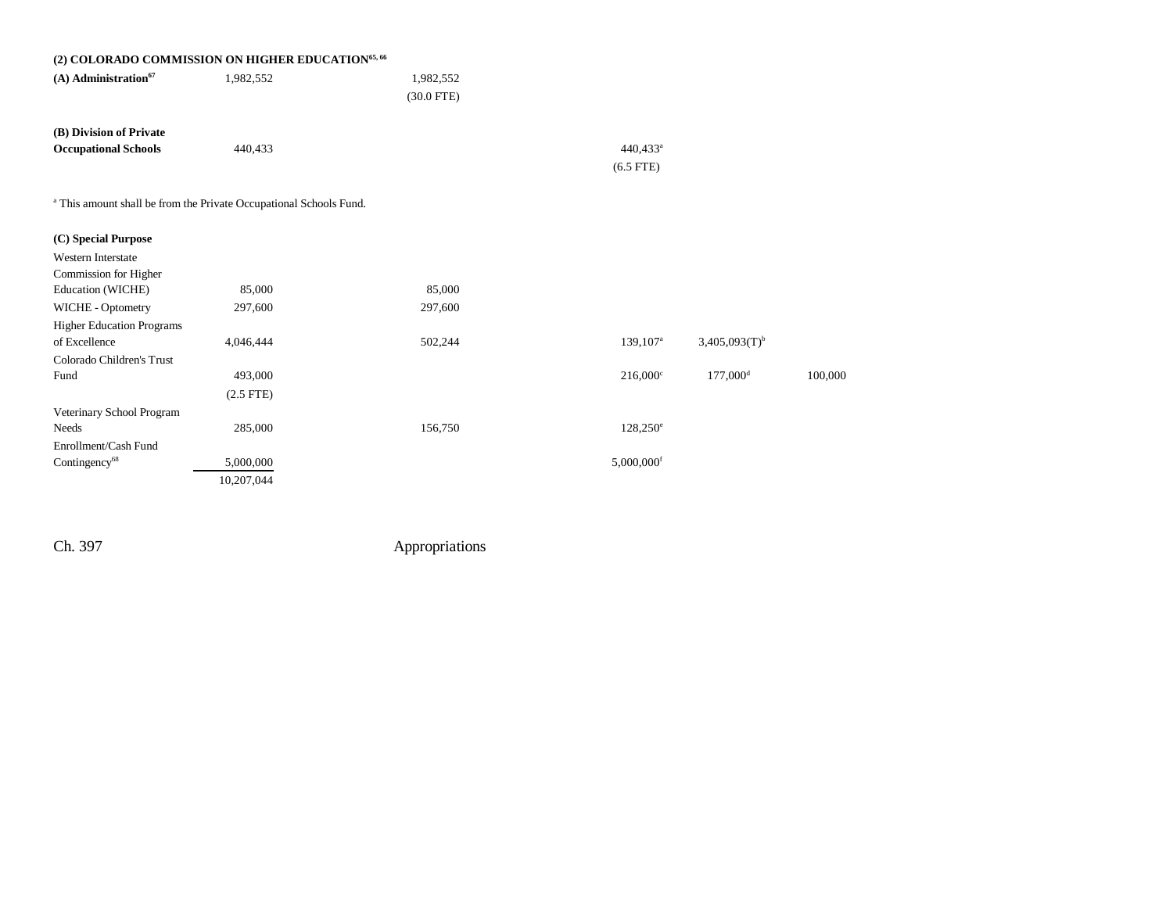|                                    | (2) COLORADO COMMISSION ON HIGHER EDUCATION <sup>65, 66</sup>                 |              |                        |                             |         |
|------------------------------------|-------------------------------------------------------------------------------|--------------|------------------------|-----------------------------|---------|
| $(A)$ Administration <sup>67</sup> | 1,982,552                                                                     | 1,982,552    |                        |                             |         |
|                                    |                                                                               | $(30.0$ FTE) |                        |                             |         |
| (B) Division of Private            |                                                                               |              |                        |                             |         |
| <b>Occupational Schools</b>        | 440,433                                                                       |              | 440,433 <sup>a</sup>   |                             |         |
|                                    |                                                                               |              | $(6.5$ FTE)            |                             |         |
|                                    |                                                                               |              |                        |                             |         |
|                                    | <sup>a</sup> This amount shall be from the Private Occupational Schools Fund. |              |                        |                             |         |
| (C) Special Purpose                |                                                                               |              |                        |                             |         |
| <b>Western Interstate</b>          |                                                                               |              |                        |                             |         |
| Commission for Higher              |                                                                               |              |                        |                             |         |
| Education (WICHE)                  | 85,000                                                                        | 85,000       |                        |                             |         |
| WICHE - Optometry                  | 297,600                                                                       | 297,600      |                        |                             |         |
| <b>Higher Education Programs</b>   |                                                                               |              |                        |                             |         |
| of Excellence                      | 4,046,444                                                                     | 502,244      | $139,107^{\circ}$      | $3,405,093(T)$ <sup>b</sup> |         |
| Colorado Children's Trust          |                                                                               |              |                        |                             |         |
| Fund                               | 493,000                                                                       |              | $216,000^{\circ}$      | $177,000$ <sup>d</sup>      | 100,000 |
|                                    | $(2.5$ FTE)                                                                   |              |                        |                             |         |
| Veterinary School Program          |                                                                               |              |                        |                             |         |
| Needs                              | 285,000                                                                       | 156,750      | $128,250^{\circ}$      |                             |         |
| Enrollment/Cash Fund               |                                                                               |              |                        |                             |         |
| Contingency <sup>68</sup>          | 5,000,000                                                                     |              | 5,000,000 <sup>f</sup> |                             |         |
|                                    | 10,207,044                                                                    |              |                        |                             |         |
|                                    |                                                                               |              |                        |                             |         |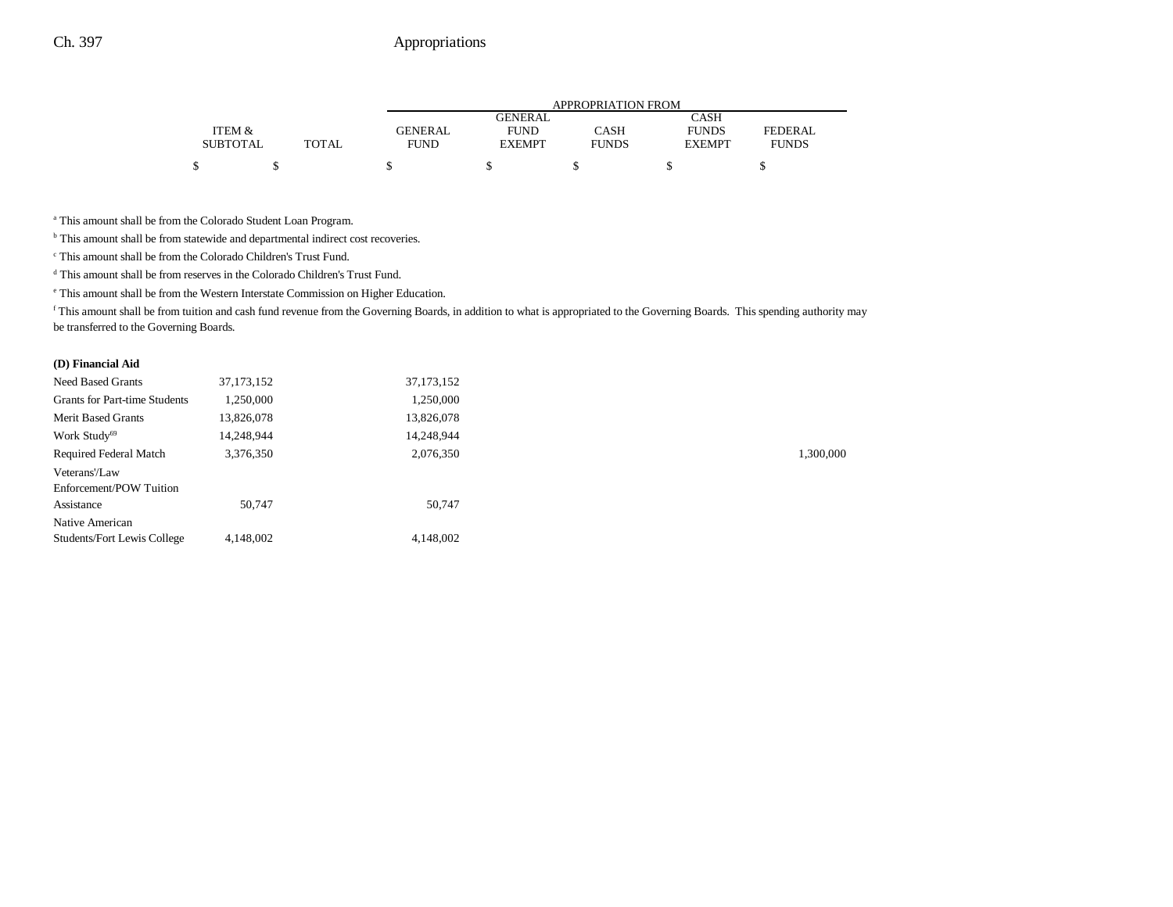|                 |              |                | APPROPRIATION FROM |              |               |              |  |  |  |
|-----------------|--------------|----------------|--------------------|--------------|---------------|--------------|--|--|--|
|                 |              |                | GENERAL            |              | <b>CASH</b>   |              |  |  |  |
| ITEM &          |              | <b>GENERAL</b> | <b>FUND</b>        | <b>CASH</b>  | <b>FUNDS</b>  | FEDERAL      |  |  |  |
| <b>SUBTOTAL</b> | <b>TOTAL</b> | <b>FUND</b>    | <b>EXEMPT</b>      | <b>FUNDS</b> | <b>EXEMPT</b> | <b>FUNDS</b> |  |  |  |
|                 |              |                |                    |              |               |              |  |  |  |

a This amount shall be from the Colorado Student Loan Program.

 $^{\rm b}$  This amount shall be from statewide and departmental indirect cost recoveries.

c This amount shall be from the Colorado Children's Trust Fund.

<sup>d</sup> This amount shall be from reserves in the Colorado Children's Trust Fund.

e This amount shall be from the Western Interstate Commission on Higher Education.

f This amount shall be from tuition and cash fund revenue from the Governing Boards, in addition to what is appropriated to the Governing Boards. This spending authority may be transferred to the Governing Boards.

#### **(D) Financial Aid**

| 37, 173, 152 | 37, 173, 152 |           |
|--------------|--------------|-----------|
| 1,250,000    | 1,250,000    |           |
| 13,826,078   | 13,826,078   |           |
| 14,248,944   | 14,248,944   |           |
| 3,376,350    | 2,076,350    | 1,300,000 |
|              |              |           |
|              |              |           |
| 50,747       | 50,747       |           |
|              |              |           |
| 4,148,002    | 4.148.002    |           |
|              |              |           |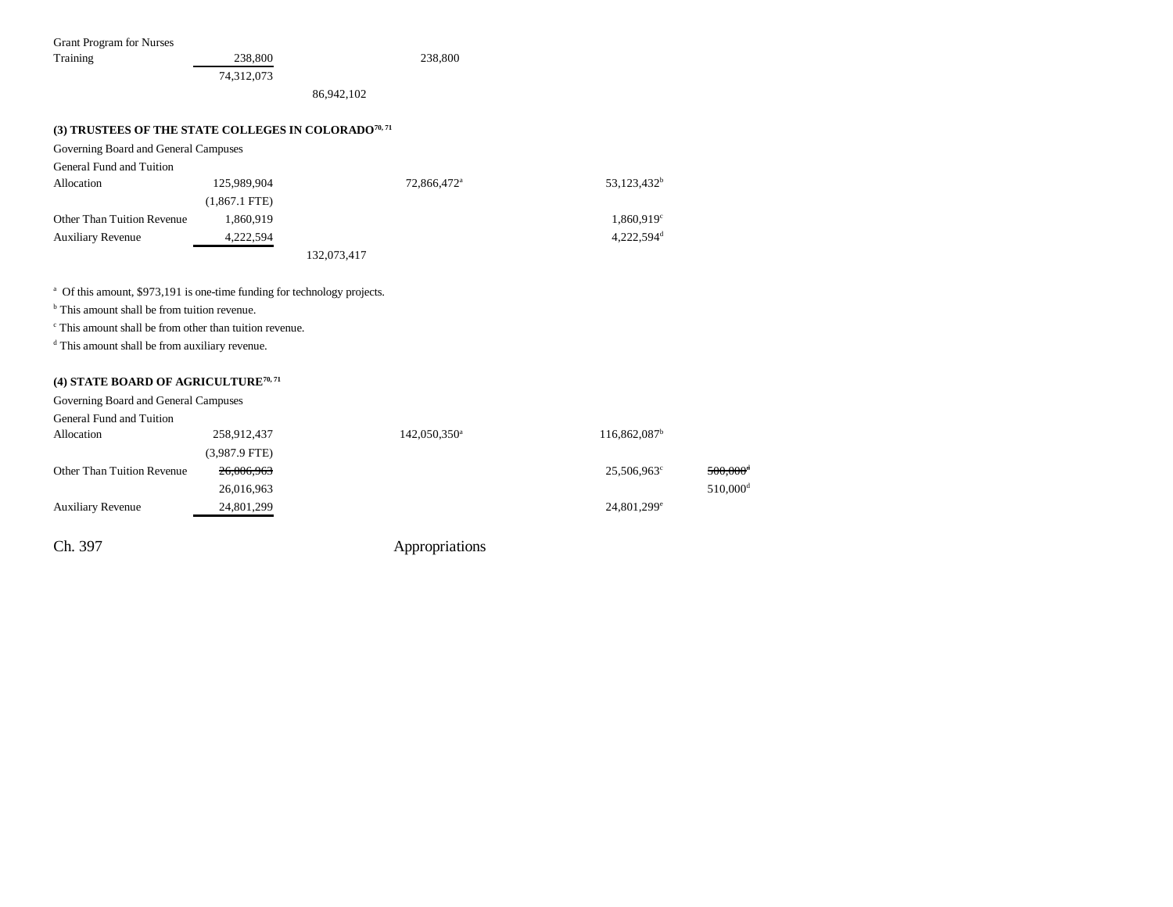| <b>Grant Program for Nurses</b>                                                                                                                                                                                                                                                   |                 |                          |                          |                        |  |
|-----------------------------------------------------------------------------------------------------------------------------------------------------------------------------------------------------------------------------------------------------------------------------------|-----------------|--------------------------|--------------------------|------------------------|--|
| Training                                                                                                                                                                                                                                                                          | 238,800         | 238,800                  |                          |                        |  |
|                                                                                                                                                                                                                                                                                   | 74,312,073      |                          |                          |                        |  |
|                                                                                                                                                                                                                                                                                   |                 | 86,942,102               |                          |                        |  |
| (3) TRUSTEES OF THE STATE COLLEGES IN COLORADO <sup>70, 71</sup>                                                                                                                                                                                                                  |                 |                          |                          |                        |  |
| Governing Board and General Campuses                                                                                                                                                                                                                                              |                 |                          |                          |                        |  |
| General Fund and Tuition                                                                                                                                                                                                                                                          |                 |                          |                          |                        |  |
| Allocation                                                                                                                                                                                                                                                                        | 125,989,904     | 72,866,472 <sup>a</sup>  | 53,123,432 <sup>b</sup>  |                        |  |
|                                                                                                                                                                                                                                                                                   | $(1,867.1$ FTE) |                          |                          |                        |  |
| Other Than Tuition Revenue                                                                                                                                                                                                                                                        | 1,860,919       |                          | 1,860,919 <sup>c</sup>   |                        |  |
| <b>Auxiliary Revenue</b>                                                                                                                                                                                                                                                          | 4,222,594       |                          | 4,222,594 <sup>d</sup>   |                        |  |
|                                                                                                                                                                                                                                                                                   |                 | 132,073,417              |                          |                        |  |
| <sup>a</sup> Of this amount, \$973,191 is one-time funding for technology projects.<br><sup>b</sup> This amount shall be from tuition revenue.<br><sup>c</sup> This amount shall be from other than tuition revenue.<br><sup>d</sup> This amount shall be from auxiliary revenue. |                 |                          |                          |                        |  |
| (4) STATE BOARD OF AGRICULTURE <sup>70, 71</sup>                                                                                                                                                                                                                                  |                 |                          |                          |                        |  |
| Governing Board and General Campuses                                                                                                                                                                                                                                              |                 |                          |                          |                        |  |
| General Fund and Tuition                                                                                                                                                                                                                                                          |                 |                          |                          |                        |  |
| Allocation                                                                                                                                                                                                                                                                        | 258,912,437     | 142,050,350 <sup>a</sup> | 116,862,087 <sup>b</sup> |                        |  |
|                                                                                                                                                                                                                                                                                   | $(3,987.9$ FTE) |                          |                          |                        |  |
| Other Than Tuition Revenue                                                                                                                                                                                                                                                        | 26,006,963      |                          | 25,506,963 <sup>c</sup>  | $500,000$ <sup>d</sup> |  |
|                                                                                                                                                                                                                                                                                   | 26,016,963      |                          |                          | $510,000$ <sup>d</sup> |  |
| <b>Auxiliary Revenue</b>                                                                                                                                                                                                                                                          | 24,801,299      |                          | 24,801,299 <sup>e</sup>  |                        |  |
| Ch. 397                                                                                                                                                                                                                                                                           |                 | Appropriations           |                          |                        |  |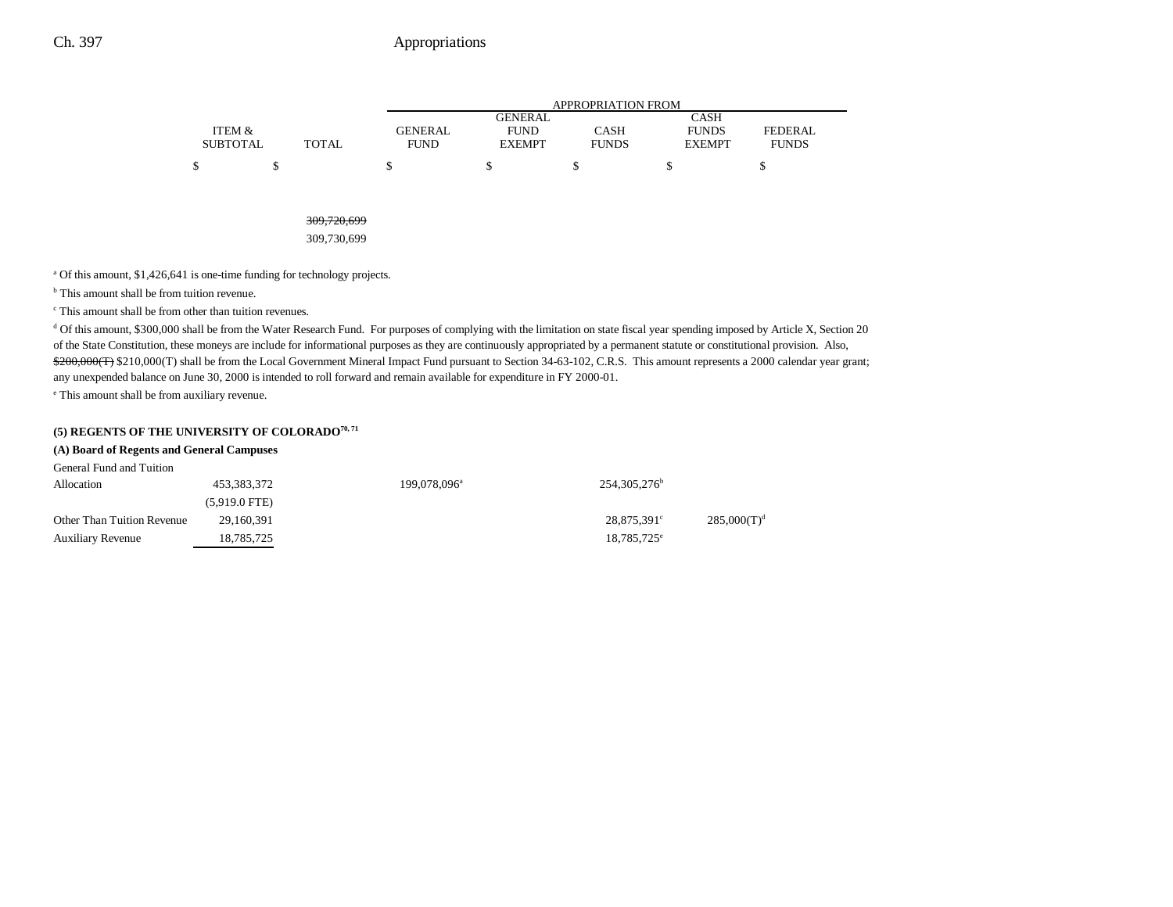|                 |              |                | APPROPRIATION FROM |              |               |                |  |  |  |
|-----------------|--------------|----------------|--------------------|--------------|---------------|----------------|--|--|--|
|                 |              |                | <b>GENERAL</b>     |              | <b>CASH</b>   |                |  |  |  |
| ITEM &          |              | <b>GENERAL</b> | <b>FUND</b>        | <b>CASH</b>  | <b>FUNDS</b>  | <b>FEDERAL</b> |  |  |  |
| <b>SUBTOTAL</b> | <b>TOTAL</b> | <b>FUND</b>    | <b>EXEMPT</b>      | <b>FUNDS</b> | <b>EXEMPT</b> | <b>FUNDS</b>   |  |  |  |
|                 |              |                |                    |              |               |                |  |  |  |
|                 |              |                |                    |              |               |                |  |  |  |

309,720,699

309,730,699

<sup>a</sup> Of this amount, \$1,426,641 is one-time funding for technology projects.

<sup>b</sup> This amount shall be from tuition revenue.

c This amount shall be from other than tuition revenues.

d Of this amount, \$300,000 shall be from the Water Research Fund. For purposes of complying with the limitation on state fiscal year spending imposed by Article X, Section 20 of the State Constitution, these moneys are include for informational purposes as they are continuously appropriated by a permanent statute or constitutional provision. Also, \$200,000(T) \$210,000(T) shall be from the Local Government Mineral Impact Fund pursuant to Section 34-63-102, C.R.S. This amount represents a 2000 calendar year grant; any unexpended balance on June 30, 2000 is intended to roll forward and remain available for expenditure in FY 2000-01.

e This amount shall be from auxiliary revenue.

### **(5) REGENTS OF THE UNIVERSITY OF COLORADO70, 71**

#### **(A) Board of Regents and General Campuses**

| General Fund and Tuition   |                         |                          |                            |                |
|----------------------------|-------------------------|--------------------------|----------------------------|----------------|
| Allocation                 | 453,383,372             | 199,078,096 <sup>a</sup> | 254, 305, 276 <sup>b</sup> |                |
|                            | $(5.919.0 \text{ FTE})$ |                          |                            |                |
| Other Than Tuition Revenue | 29,160,391              |                          | 28,875,391°                | $285,000(T)^d$ |
| <b>Auxiliary Revenue</b>   | 18.785.725              |                          | $18,785,725^{\circ}$       |                |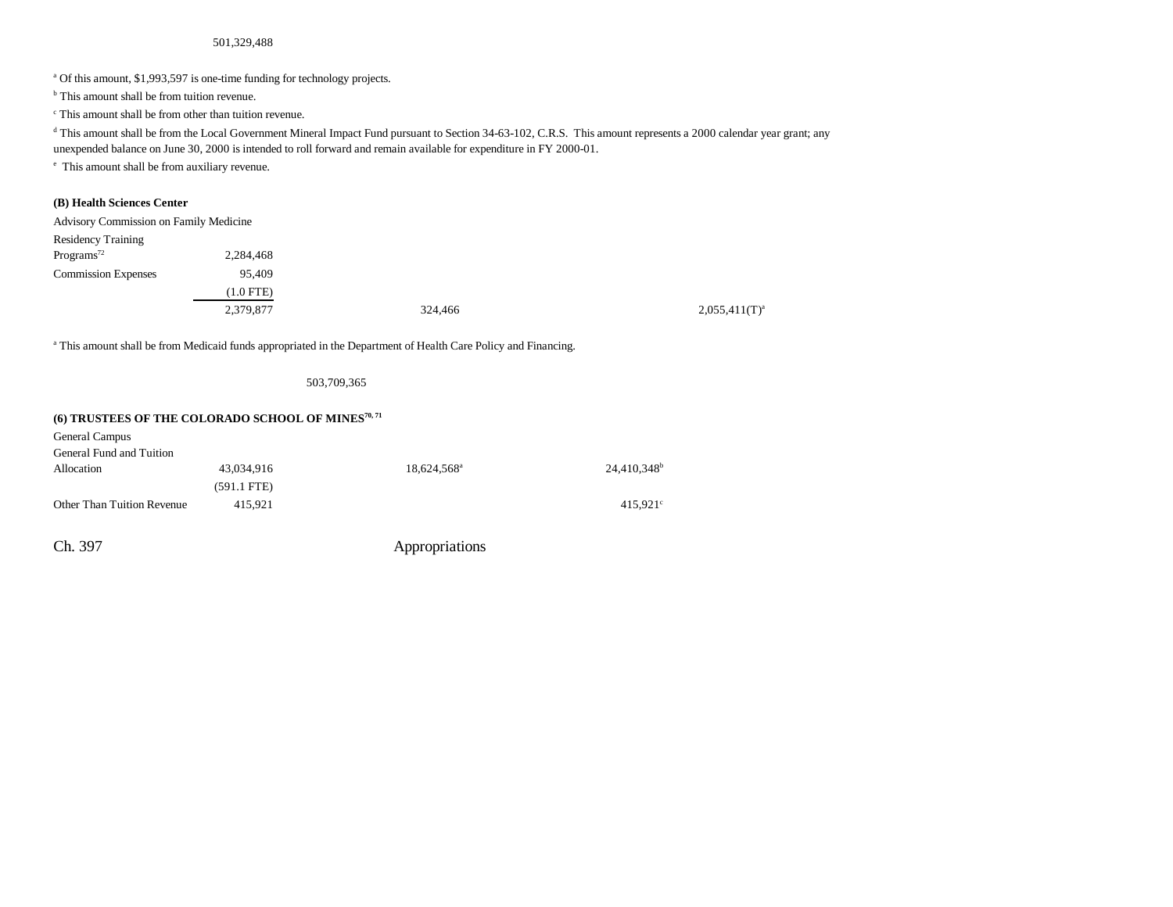#### 501,329,488

<sup>a</sup> Of this amount, \$1,993,597 is one-time funding for technology projects.

<sup>b</sup> This amount shall be from tuition revenue.

c This amount shall be from other than tuition revenue.

<sup>d</sup> This amount shall be from the Local Government Mineral Impact Fund pursuant to Section 34-63-102, C.R.S. This amount represents a 2000 calendar year grant; any

unexpended balance on June 30, 2000 is intended to roll forward and remain available for expenditure in FY 2000-01.

e This amount shall be from auxiliary revenue.

### **(B) Health Sciences Center**

| Advisory Commission on Family Medicine |             |         |                    |
|----------------------------------------|-------------|---------|--------------------|
| <b>Residency Training</b>              |             |         |                    |
| Programs <sup>72</sup>                 | 2,284,468   |         |                    |
| <b>Commission Expenses</b>             | 95.409      |         |                    |
|                                        | $(1.0$ FTE) |         |                    |
|                                        | 2,379,877   | 324,466 | $2,055,411(T)^{a}$ |

<sup>a</sup> This amount shall be from Medicaid funds appropriated in the Department of Health Care Policy and Financing.

503,709,365

### **(6) TRUSTEES OF THE COLORADO SCHOOL OF MINES70, 71**

| General Campus             |               |                         |                         |
|----------------------------|---------------|-------------------------|-------------------------|
| General Fund and Tuition   |               |                         |                         |
| Allocation                 | 43.034.916    | 18.624.568 <sup>a</sup> | 24.410.348 <sup>b</sup> |
|                            | $(591.1$ FTE) |                         |                         |
| Other Than Tuition Revenue | 415.921       |                         | $415.921^{\circ}$       |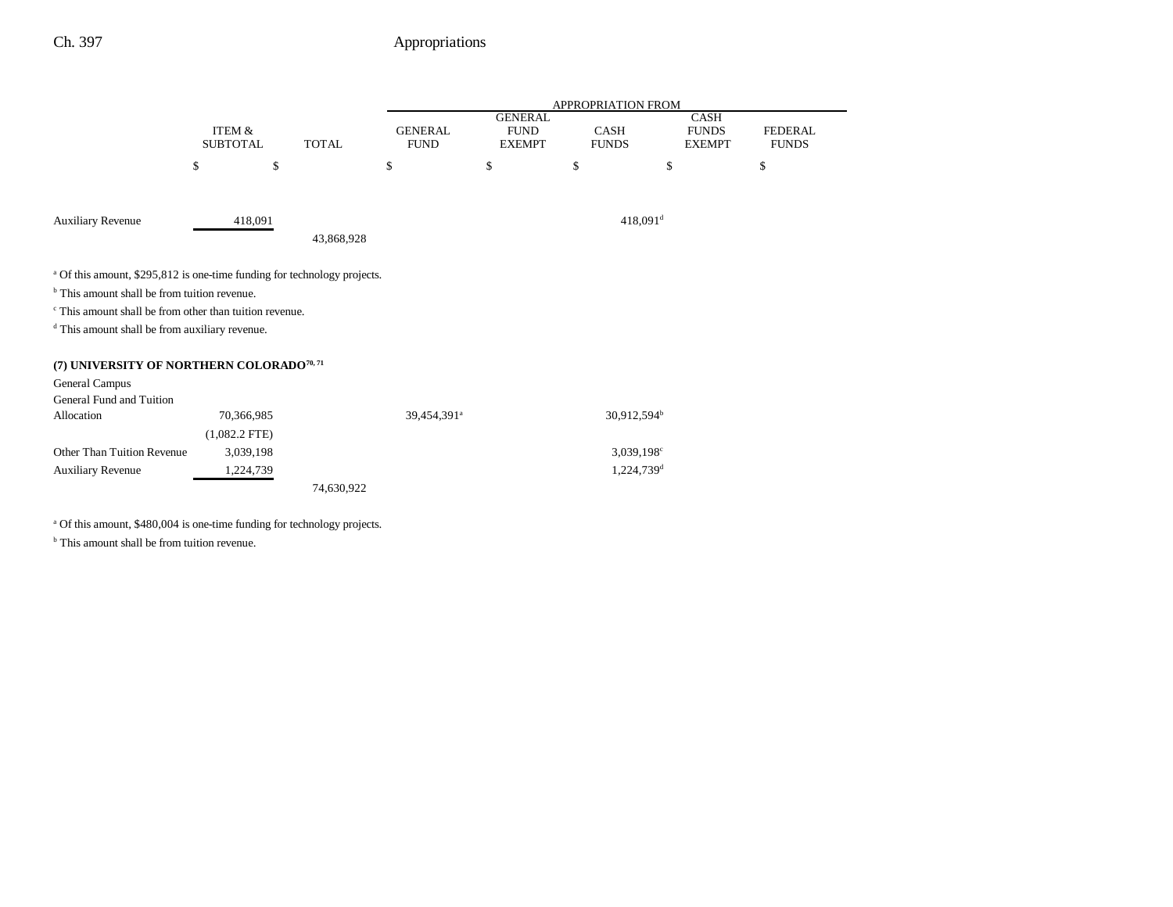|                                                                                     |                           |              |                               |                              | APPROPRIATION FROM          |                               |                                |
|-------------------------------------------------------------------------------------|---------------------------|--------------|-------------------------------|------------------------------|-----------------------------|-------------------------------|--------------------------------|
|                                                                                     |                           |              |                               | <b>GENERAL</b>               |                             | CASH                          |                                |
|                                                                                     | ITEM &<br><b>SUBTOTAL</b> | <b>TOTAL</b> | <b>GENERAL</b><br><b>FUND</b> | <b>FUND</b><br><b>EXEMPT</b> | <b>CASH</b><br><b>FUNDS</b> | <b>FUNDS</b><br><b>EXEMPT</b> | <b>FEDERAL</b><br><b>FUNDS</b> |
|                                                                                     |                           |              |                               |                              |                             |                               |                                |
|                                                                                     | \$                        | \$           | \$                            | \$                           | \$                          | \$                            | \$                             |
|                                                                                     |                           |              |                               |                              |                             |                               |                                |
| <b>Auxiliary Revenue</b>                                                            | 418,091                   |              |                               |                              | $418,091$ <sup>d</sup>      |                               |                                |
|                                                                                     |                           | 43,868,928   |                               |                              |                             |                               |                                |
|                                                                                     |                           |              |                               |                              |                             |                               |                                |
| <sup>a</sup> Of this amount, \$295,812 is one-time funding for technology projects. |                           |              |                               |                              |                             |                               |                                |
| <sup>b</sup> This amount shall be from tuition revenue.                             |                           |              |                               |                              |                             |                               |                                |
| <sup>c</sup> This amount shall be from other than tuition revenue.                  |                           |              |                               |                              |                             |                               |                                |
| <sup>d</sup> This amount shall be from auxiliary revenue.                           |                           |              |                               |                              |                             |                               |                                |
|                                                                                     |                           |              |                               |                              |                             |                               |                                |
| (7) UNIVERSITY OF NORTHERN COLORADO <sup>70,71</sup>                                |                           |              |                               |                              |                             |                               |                                |
| General Campus                                                                      |                           |              |                               |                              |                             |                               |                                |
| General Fund and Tuition                                                            |                           |              |                               |                              |                             |                               |                                |
| Allocation                                                                          | 70,366,985                |              | 39,454,391 <sup>a</sup>       |                              | 30,912,594 <sup>b</sup>     |                               |                                |
|                                                                                     | $(1,082.2$ FTE)           |              |                               |                              |                             |                               |                                |
| Other Than Tuition Revenue                                                          | 3,039,198                 |              |                               |                              | $3,039,198^{\circ}$         |                               |                                |
| <b>Auxiliary Revenue</b>                                                            | 1,224,739                 |              |                               |                              | $1,224,739$ <sup>d</sup>    |                               |                                |
|                                                                                     |                           | 74,630,922   |                               |                              |                             |                               |                                |

<sup>a</sup> Of this amount, \$480,004 is one-time funding for technology projects.

<sup>b</sup> This amount shall be from tuition revenue.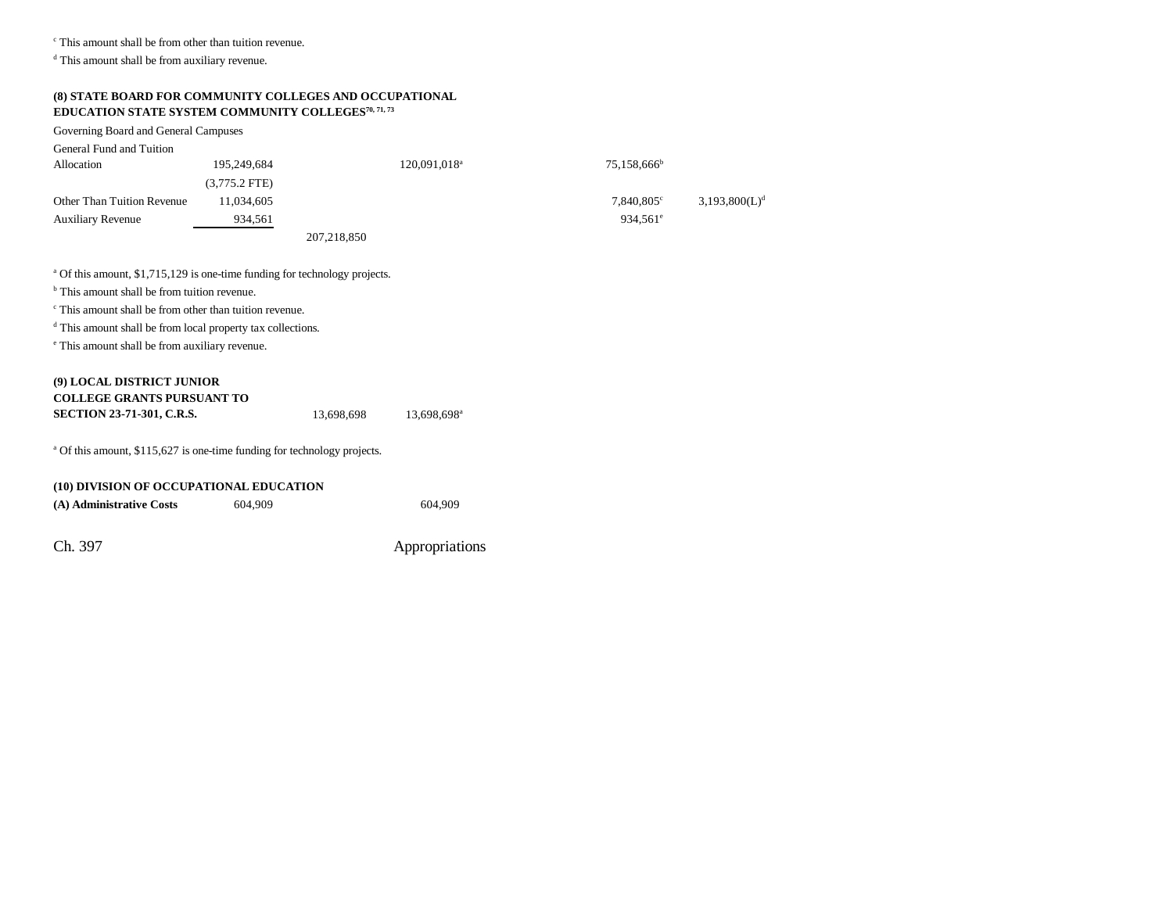c This amount shall be from other than tuition revenue.

d This amount shall be from auxiliary revenue.

## **(8) STATE BOARD FOR COMMUNITY COLLEGES AND OCCUPATIONAL EDUCATION STATE SYSTEM COMMUNITY COLLEGES70, 71, 73**

Governing Board and General Campuses General Fund and Tuition Allocation 195,249,684 120,091,018<sup>a</sup> 75,158,666<sup>b</sup> (3,775.2 FTE) Other Than Tuition Revenue  $11,034,605$   $7,840,805$   $7,840,805$   $3,193,800(L)<sup>d</sup>$ Auxiliary Revenue 934,561 934,561 934,561 934,561 934,561 934,561 934,561 934,561 934,561 934,561 934,561 934,561 934,561 934,561 934,561 934,561 934,561 934,561 934,561 934,561 934,561 934,561 934,561 934,561 934,561 934, 207,218,850

<sup>a</sup> Of this amount, \$1,715,129 is one-time funding for technology projects.

<sup>b</sup> This amount shall be from tuition revenue.

c This amount shall be from other than tuition revenue.

d This amount shall be from local property tax collections.

e This amount shall be from auxiliary revenue.

## **(9) LOCAL DISTRICT JUNIOR COLLEGE GRANTS PURSUANT TOSECTION 23-71-301, C.R.S.** 13,698,698 13,698,698<sup>a</sup>

<sup>a</sup> Of this amount, \$115,627 is one-time funding for technology projects.

| (10) DIVISION OF OCCUPATIONAL EDUCATION |         |         |  |  |  |  |
|-----------------------------------------|---------|---------|--|--|--|--|
| (A) Administrative Costs                | 604.909 | 604.909 |  |  |  |  |
|                                         |         |         |  |  |  |  |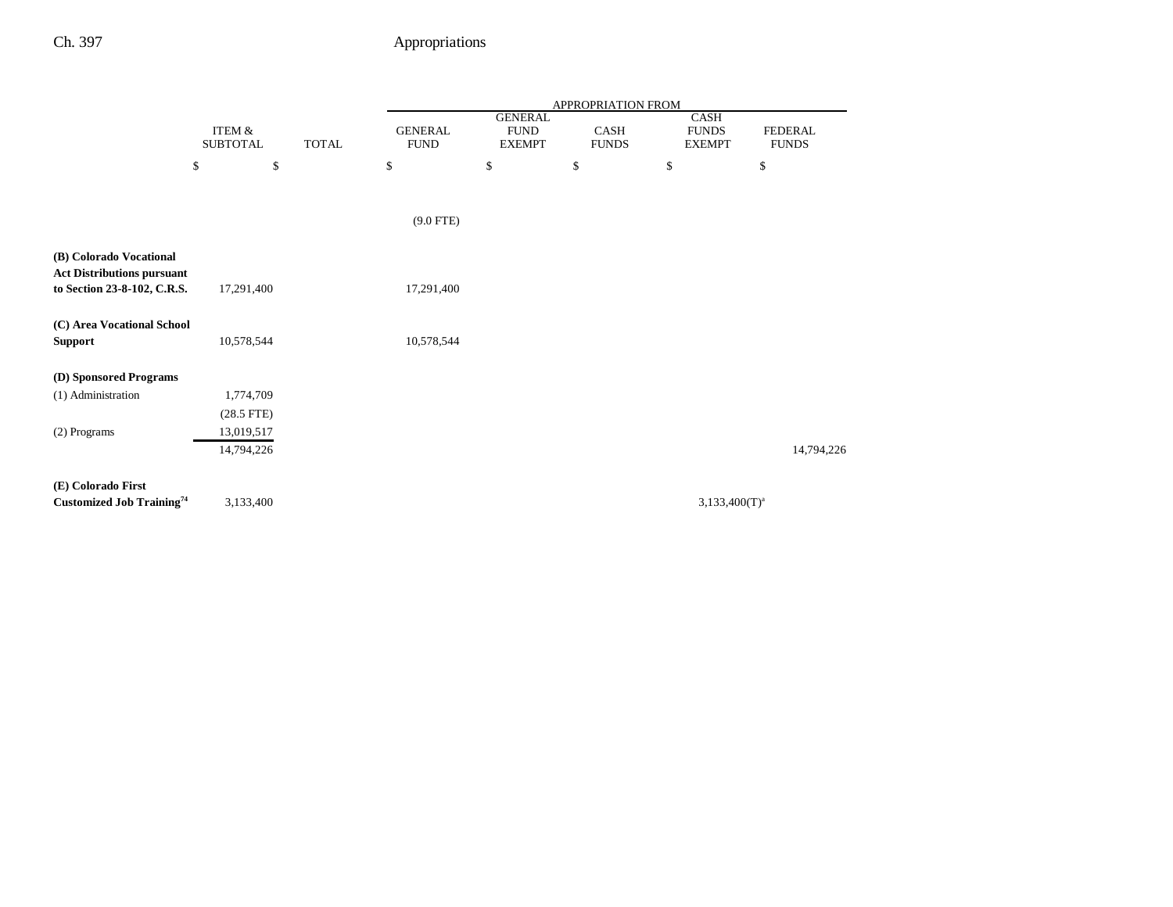|                                   |                    |              |                |                | APPROPRIATION FROM |                  |                |
|-----------------------------------|--------------------|--------------|----------------|----------------|--------------------|------------------|----------------|
|                                   |                    |              |                | <b>GENERAL</b> |                    | CASH             |                |
|                                   | <b>ITEM &amp;</b>  |              | <b>GENERAL</b> | <b>FUND</b>    | CASH               | <b>FUNDS</b>     | <b>FEDERAL</b> |
|                                   | <b>SUBTOTAL</b>    | <b>TOTAL</b> | <b>FUND</b>    | <b>EXEMPT</b>  | <b>FUNDS</b>       | <b>EXEMPT</b>    | <b>FUNDS</b>   |
|                                   | $\mathbb{S}$<br>\$ |              | \$             | \$             | \$                 | \$               | $\mathbb{S}$   |
|                                   |                    |              |                |                |                    |                  |                |
|                                   |                    |              | $(9.0$ FTE)    |                |                    |                  |                |
|                                   |                    |              |                |                |                    |                  |                |
| (B) Colorado Vocational           |                    |              |                |                |                    |                  |                |
| <b>Act Distributions pursuant</b> |                    |              |                |                |                    |                  |                |
| to Section 23-8-102, C.R.S.       | 17,291,400         |              | 17,291,400     |                |                    |                  |                |
|                                   |                    |              |                |                |                    |                  |                |
| (C) Area Vocational School        |                    |              |                |                |                    |                  |                |
| Support                           | 10,578,544         |              | 10,578,544     |                |                    |                  |                |
|                                   |                    |              |                |                |                    |                  |                |
| (D) Sponsored Programs            |                    |              |                |                |                    |                  |                |
| (1) Administration                | 1,774,709          |              |                |                |                    |                  |                |
|                                   | $(28.5$ FTE)       |              |                |                |                    |                  |                |
| (2) Programs                      | 13,019,517         |              |                |                |                    |                  |                |
|                                   | 14,794,226         |              |                |                |                    |                  | 14,794,226     |
|                                   |                    |              |                |                |                    |                  |                |
| (E) Colorado First                |                    |              |                |                |                    |                  |                |
| <b>Customized Job Training</b> 74 | 3,133,400          |              |                |                |                    | $3,133,400(T)^a$ |                |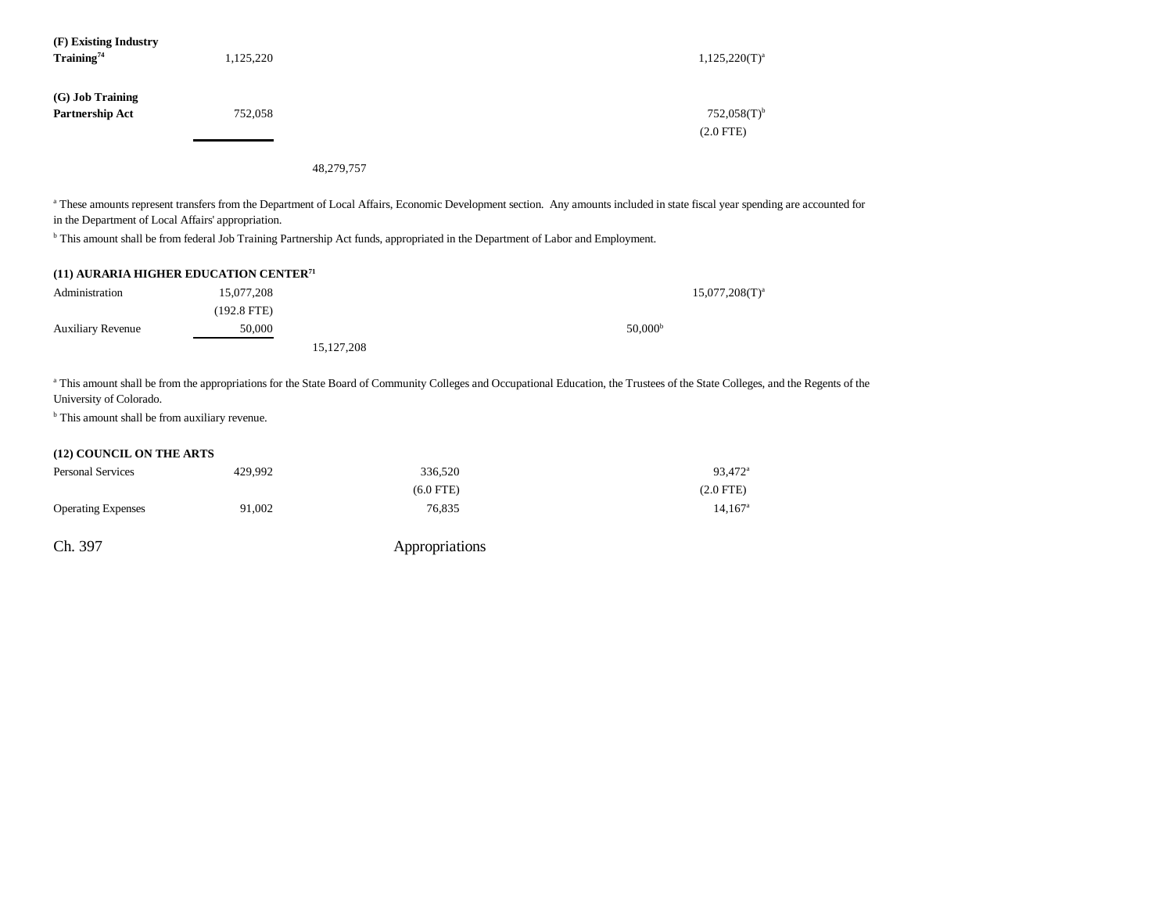| (F) Existing Industry<br>Training <sup>74</sup> | 1,125,220 | $1,125,220(T)^a$                         |
|-------------------------------------------------|-----------|------------------------------------------|
| (G) Job Training<br>Partnership Act             | 752,058   | $752,058(T)$ <sup>b</sup><br>$(2.0$ FTE) |

48,279,757

a These amounts represent transfers from the Department of Local Affairs, Economic Development section. Any amounts included in state fiscal year spending are accounted for in the Department of Local Affairs' appropriation.

<sup>b</sup> This amount shall be from federal Job Training Partnership Act funds, appropriated in the Department of Labor and Employment.

|  |  | (11) AURARIA HIGHER EDUCATION CENTER <sup>71</sup> |  |
|--|--|----------------------------------------------------|--|
|--|--|----------------------------------------------------|--|

| Administration           | 15,077,208  |              | $15,077,208(T)^{a}$ |
|--------------------------|-------------|--------------|---------------------|
|                          | (192.8 FTE) |              |                     |
| <b>Auxiliary Revenue</b> | 50,000      |              | 50,000 <sup>b</sup> |
|                          |             | 15, 127, 208 |                     |

<sup>a</sup> This amount shall be from the appropriations for the State Board of Community Colleges and Occupational Education, the Trustees of the State Colleges, and the Regents of the University of Colorado.

 $<sup>b</sup>$  This amount shall be from auxiliary revenue.</sup>

## **(12) COUNCIL ON THE ARTS**

| <b>Personal Services</b>  | 429.992 | 336.520     | 93,472 <sup>a</sup> |
|---------------------------|---------|-------------|---------------------|
|                           |         | $(6.0$ FTE) | $(2.0$ FTE $)$      |
| <b>Operating Expenses</b> | 91.002  | 76.835      | $14.167^{\rm a}$    |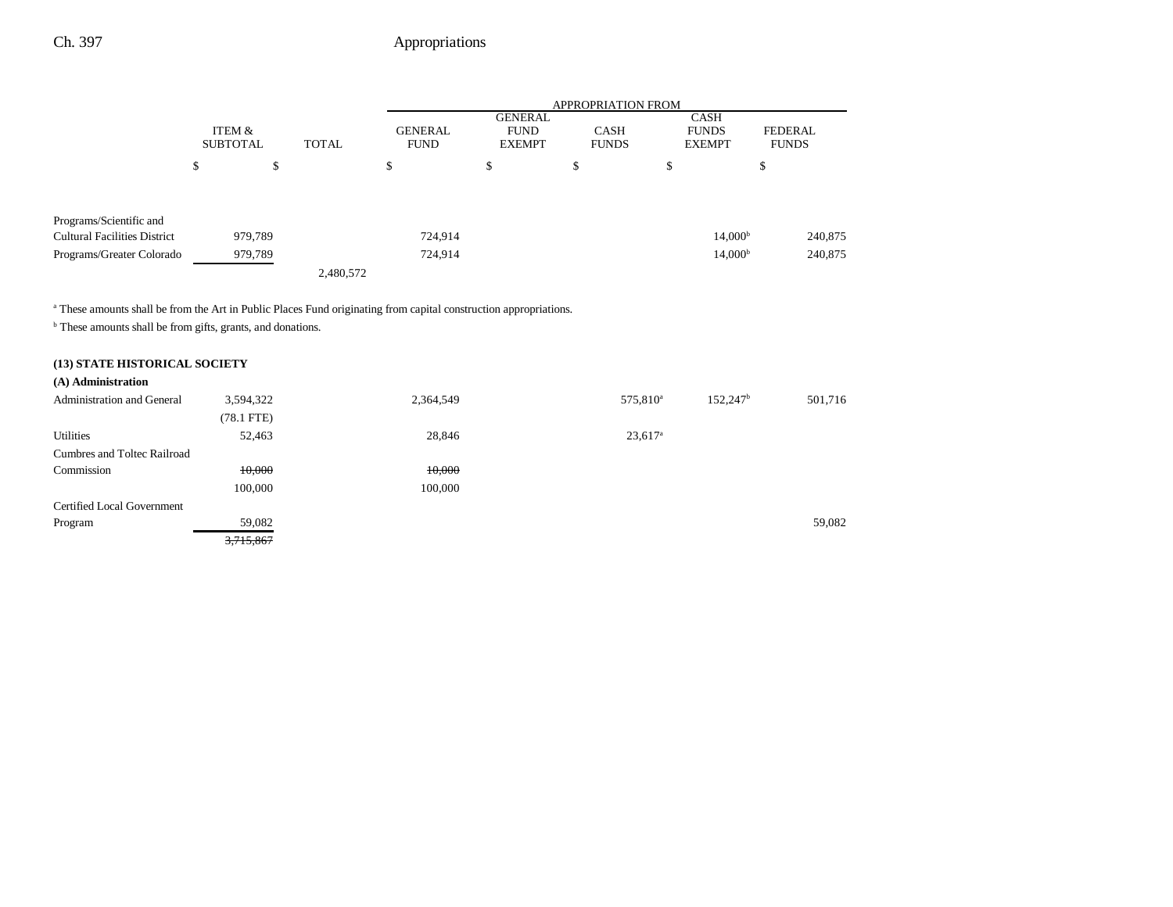|                                                                |                           |         |              | <b>APPROPRIATION FROM</b>     |                                                |                             |                                              |                     |              |
|----------------------------------------------------------------|---------------------------|---------|--------------|-------------------------------|------------------------------------------------|-----------------------------|----------------------------------------------|---------------------|--------------|
|                                                                | ITEM &<br><b>SUBTOTAL</b> |         | <b>TOTAL</b> | <b>GENERAL</b><br><b>FUND</b> | <b>GENERAL</b><br><b>FUND</b><br><b>EXEMPT</b> | <b>CASH</b><br><b>FUNDS</b> | <b>CASH</b><br><b>FUNDS</b><br><b>EXEMPT</b> | <b>FEDERAL</b>      | <b>FUNDS</b> |
|                                                                | ¢<br>Φ                    | \$      |              | \$                            | \$                                             | \$                          | \$                                           | Ф                   |              |
| Programs/Scientific and<br><b>Cultural Facilities District</b> |                           | 979,789 |              | 724,914                       |                                                |                             |                                              | 14,000 <sup>b</sup> | 240,875      |
| Programs/Greater Colorado                                      |                           | 979,789 | 2,480,572    | 724,914                       |                                                |                             |                                              | 14,000 <sup>b</sup> | 240,875      |

<sup>a</sup> These amounts shall be from the Art in Public Places Fund originating from capital construction appropriations.

**b** These amounts shall be from gifts, grants, and donations.

#### **(13) STATE HISTORICAL SOCIETY (A) Administration**

| 3,594,322    | 2,364,549 | 575,810 <sup>a</sup>  | 152,247 <sup>b</sup> | 501,716 |
|--------------|-----------|-----------------------|----------------------|---------|
| $(78.1$ FTE) |           |                       |                      |         |
| 52,463       | 28,846    | $23,617$ <sup>a</sup> |                      |         |
|              |           |                       |                      |         |
| 10,000       | 10,000    |                       |                      |         |
| 100,000      | 100,000   |                       |                      |         |
|              |           |                       |                      |         |
| 59,082       |           |                       |                      | 59,082  |
| 3,715,867    |           |                       |                      |         |
|              |           |                       |                      |         |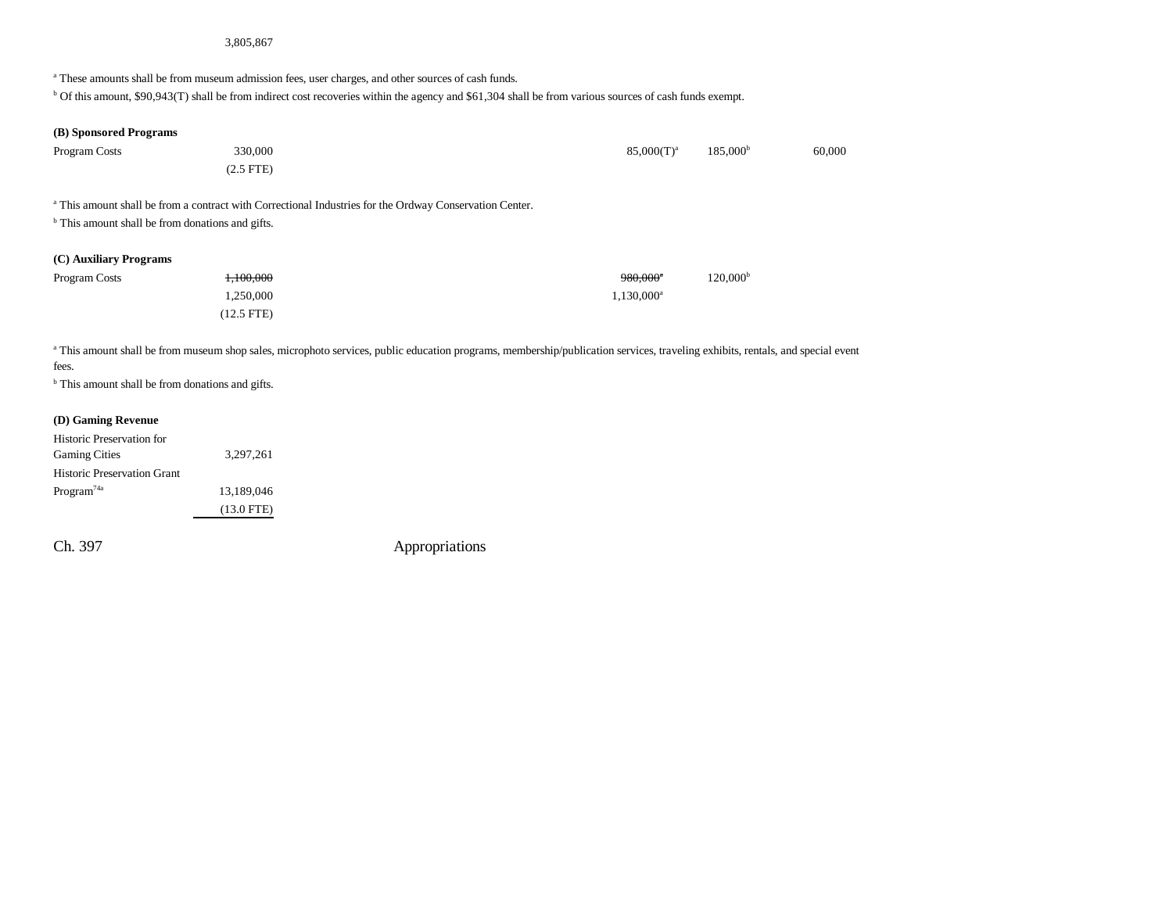#### 3,805,867

<sup>a</sup> These amounts shall be from museum admission fees, user charges, and other sources of cash funds.

b Of this amount, \$90,943(T) shall be from indirect cost recoveries within the agency and \$61,304 shall be from various sources of cash funds exempt.

### **(B) Sponsored Programs**

| Program Costs | 330,000  | $85,000(T)^a$ | 185,000 <sup>b</sup> | 60,000 |
|---------------|----------|---------------|----------------------|--------|
|               | 2.5 FTE) |               |                      |        |

a This amount shall be from a contract with Correctional Industries for the Ordway Conservation Center.

<sup>b</sup> This amount shall be from donations and gifts.

### **(C) Auxiliary Programs**

| Program Costs | 1.100.000    | 120.000 <sup>b</sup><br>980.000ª |
|---------------|--------------|----------------------------------|
|               | 1.250.000    | $1.130.000^a$                    |
|               | $(12.5$ FTE) |                                  |

<sup>a</sup> This amount shall be from museum shop sales, microphoto services, public education programs, membership/publication services, traveling exhibits, rentals, and special event fees.

<sup>b</sup> This amount shall be from donations and gifts.

#### **(D) Gaming Revenue**

| <b>Historic Preservation for</b>   |              |
|------------------------------------|--------------|
| <b>Gaming Cities</b>               | 3,297,261    |
| <b>Historic Preservation Grant</b> |              |
| Program <sup>74a</sup>             | 13,189,046   |
|                                    | $(13.0$ FTE) |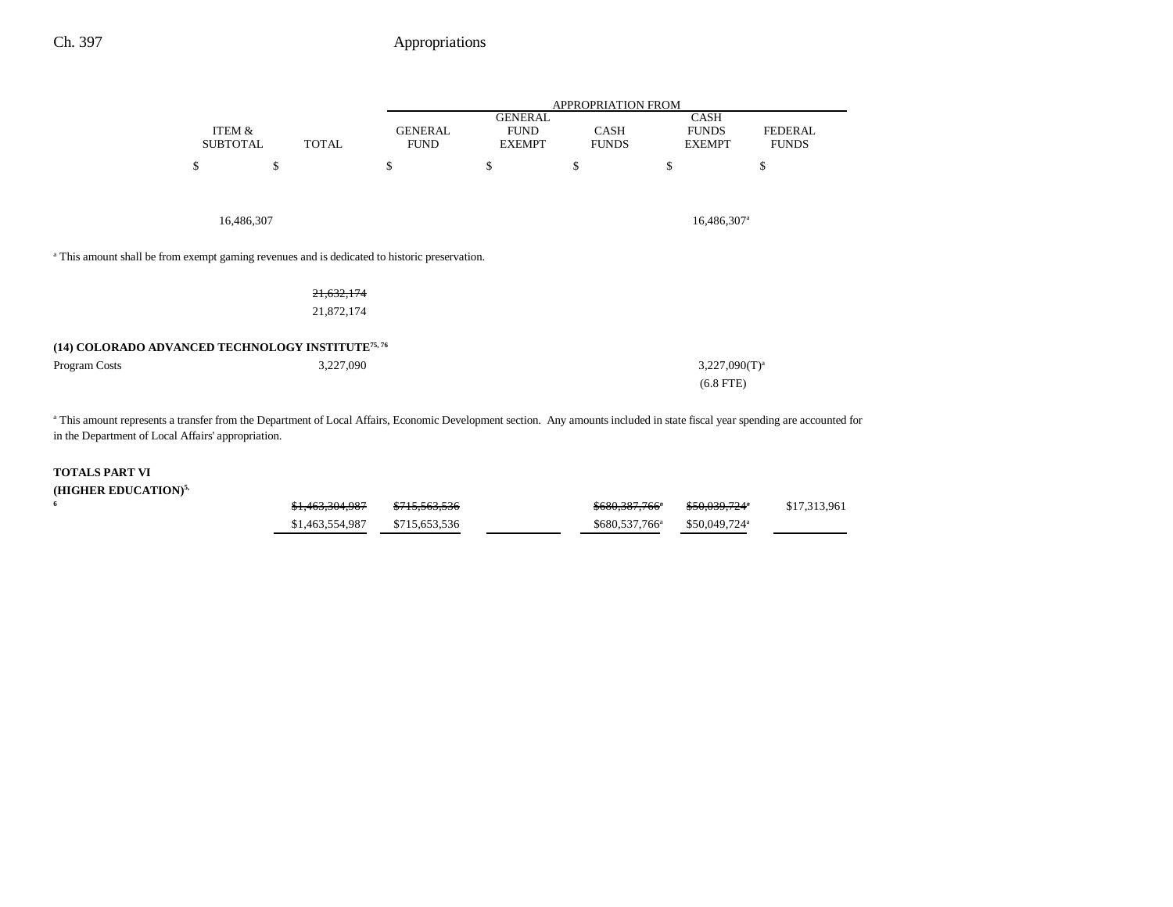|                                                                                                          |                           |              | APPROPRIATION FROM            |                                                |                             |                                              |                                                                                                                                                                              |  |
|----------------------------------------------------------------------------------------------------------|---------------------------|--------------|-------------------------------|------------------------------------------------|-----------------------------|----------------------------------------------|------------------------------------------------------------------------------------------------------------------------------------------------------------------------------|--|
|                                                                                                          | ITEM &<br><b>SUBTOTAL</b> | <b>TOTAL</b> | <b>GENERAL</b><br><b>FUND</b> | <b>GENERAL</b><br><b>FUND</b><br><b>EXEMPT</b> | <b>CASH</b><br><b>FUNDS</b> | <b>CASH</b><br><b>FUNDS</b><br><b>EXEMPT</b> | <b>FEDERAL</b><br><b>FUNDS</b>                                                                                                                                               |  |
|                                                                                                          | \$                        | \$           | \$                            | \$                                             | \$                          | \$                                           | \$                                                                                                                                                                           |  |
|                                                                                                          | 16,486,307                |              |                               |                                                |                             | $16,486,307$ <sup>a</sup>                    |                                                                                                                                                                              |  |
| <sup>a</sup> This amount shall be from exempt gaming revenues and is dedicated to historic preservation. |                           |              |                               |                                                |                             |                                              |                                                                                                                                                                              |  |
|                                                                                                          |                           | 21,632,174   |                               |                                                |                             |                                              |                                                                                                                                                                              |  |
|                                                                                                          |                           | 21,872,174   |                               |                                                |                             |                                              |                                                                                                                                                                              |  |
| (14) COLORADO ADVANCED TECHNOLOGY INSTITUTE <sup>75, 76</sup>                                            |                           |              |                               |                                                |                             |                                              |                                                                                                                                                                              |  |
| Program Costs                                                                                            |                           | 3,227,090    |                               |                                                |                             | $3,227,090(T)^a$                             |                                                                                                                                                                              |  |
|                                                                                                          |                           |              |                               |                                                |                             | $(6.8$ FTE)                                  |                                                                                                                                                                              |  |
| in the Department of Local Affairs' appropriation.                                                       |                           |              |                               |                                                |                             |                                              | a This amount represents a transfer from the Department of Local Affairs, Economic Development section. Any amounts included in state fiscal year spending are accounted for |  |

### **TOTALS PART VI**

| (HIGHER EDUCATION) <sup>5,</sup> |                            |                          |                            |                            |              |
|----------------------------------|----------------------------|--------------------------|----------------------------|----------------------------|--------------|
|                                  | <del>\$1,463,304,987</del> | <del>\$715,563,536</del> | <del>\$680,387,766</del> ª | \$50.039.724°              | \$17,313,961 |
|                                  | \$1,463,554,987            | \$715,653,536            | \$680,537,766 <sup>a</sup> | $$50.049.724$ <sup>a</sup> |              |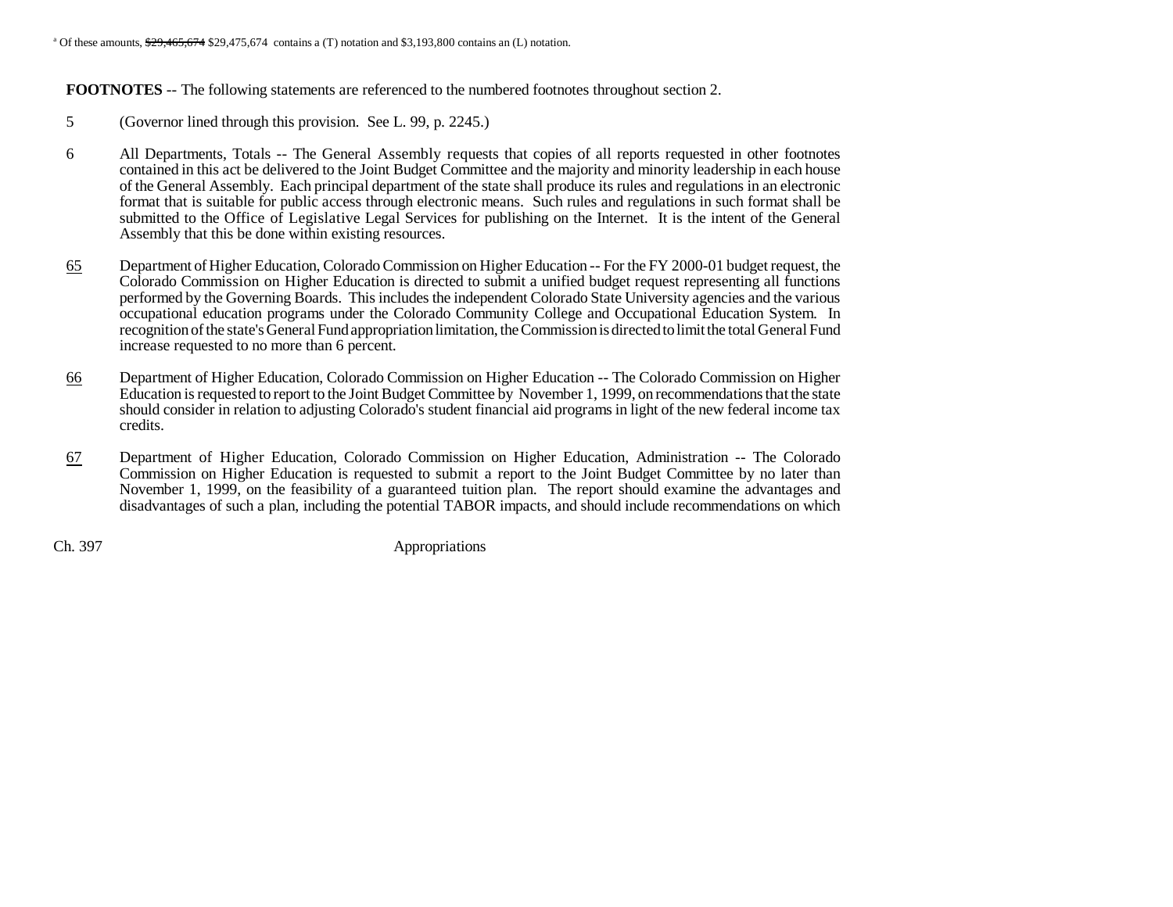<sup>a</sup> Of these amounts,  $\frac{$29,465,674}{$29,475,674}$  contains a (T) notation and \$3,193,800 contains an (L) notation.

**FOOTNOTES** -- The following statements are referenced to the numbered footnotes throughout section 2.

- 5 (Governor lined through this provision. See L. 99, p. 2245.)
- 6 All Departments, Totals -- The General Assembly requests that copies of all reports requested in other footnotes contained in this act be delivered to the Joint Budget Committee and the majority and minority leadership in each house of the General Assembly. Each principal department of the state shall produce its rules and regulations in an electronic format that is suitable for public access through electronic means. Such rules and regulations in such format shall be submitted to the Office of Legislative Legal Services for publishing on the Internet. It is the intent of the General Assembly that this be done within existing resources.
- 65 Department of Higher Education, Colorado Commission on Higher Education -- For the FY 2000-01 budget request, the Colorado Commission on Higher Education is directed to submit a unified budget request representing all functions performed by the Governing Boards. This includes the independent Colorado State University agencies and the various occupational education programs under the Colorado Community College and Occupational Education System. In recognition of the state's General Fund appropriation limitation, the Commission is directed to limit the total General Fund increase requested to no more than 6 percent.
- 66 Department of Higher Education, Colorado Commission on Higher Education -- The Colorado Commission on Higher Education is requested to report to the Joint Budget Committee by November 1, 1999, on recommendations that the state should consider in relation to adjusting Colorado's student financial aid programs in light of the new federal income tax credits.
- 67 Department of Higher Education, Colorado Commission on Higher Education, Administration -- The Colorado Commission on Higher Education is requested to submit a report to the Joint Budget Committee by no later than November 1, 1999, on the feasibility of a guaranteed tuition plan. The report should examine the advantages and disadvantages of such a plan, including the potential TABOR impacts, and should include recommendations on which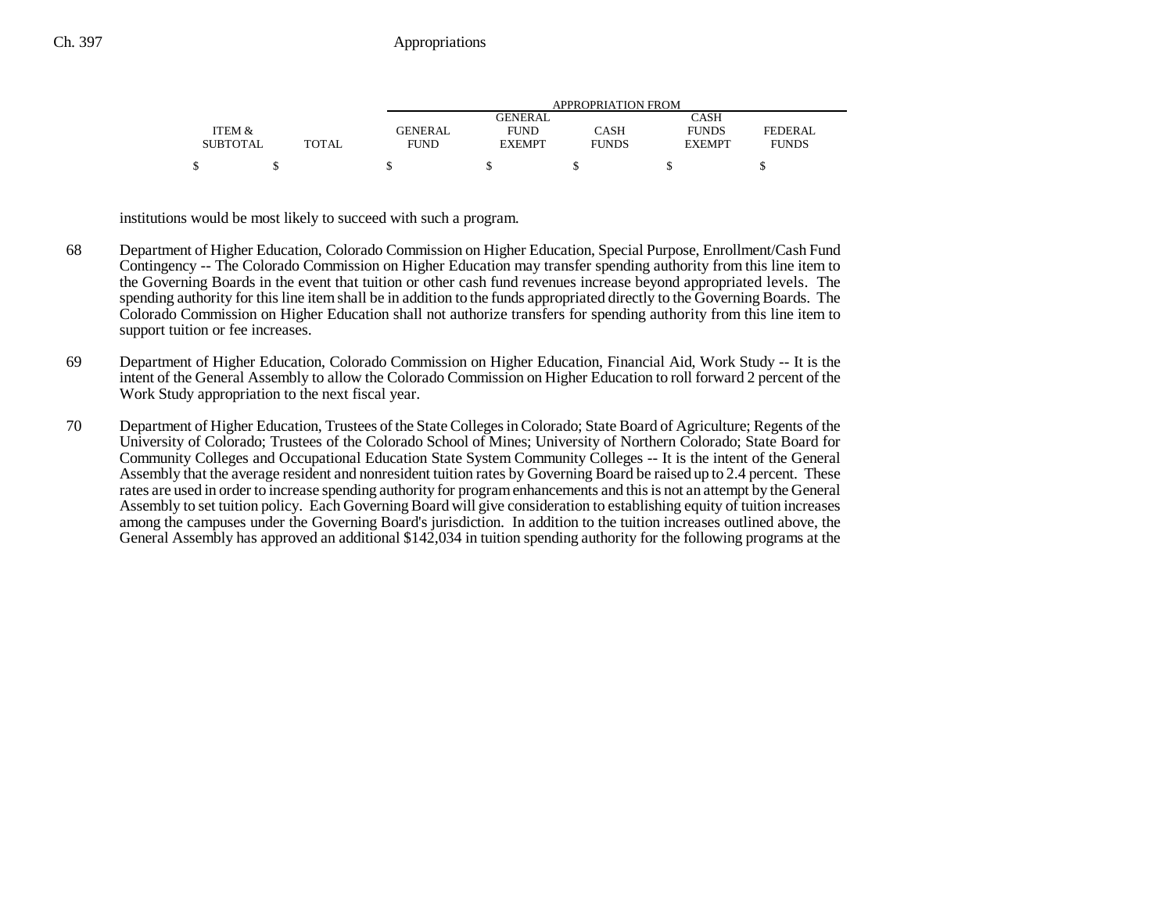|                 |              | APPROPRIATION FROM |               |              |               |              |  |
|-----------------|--------------|--------------------|---------------|--------------|---------------|--------------|--|
|                 |              |                    | GENERAL       |              | <b>CASH</b>   |              |  |
| ITEM &          |              | <b>GENERAL</b>     | <b>FUND</b>   | CASH         | <b>FUNDS</b>  | FEDERAL      |  |
| <b>SUBTOTAL</b> | <b>TOTAL</b> | <b>FUND</b>        | <b>EXEMPT</b> | <b>FUNDS</b> | <b>EXEMPT</b> | <b>FUNDS</b> |  |
|                 |              |                    |               |              |               |              |  |

institutions would be most likely to succeed with such a program.

- 68 Department of Higher Education, Colorado Commission on Higher Education, Special Purpose, Enrollment/Cash Fund Contingency -- The Colorado Commission on Higher Education may transfer spending authority from this line item to the Governing Boards in the event that tuition or other cash fund revenues increase beyond appropriated levels. The spending authority for this line item shall be in addition to the funds appropriated directly to the Governing Boards. The Colorado Commission on Higher Education shall not authorize transfers for spending authority from this line item to support tuition or fee increases.
- 69 Department of Higher Education, Colorado Commission on Higher Education, Financial Aid, Work Study -- It is the intent of the General Assembly to allow the Colorado Commission on Higher Education to roll forward 2 percent of the Work Study appropriation to the next fiscal year.
- 70 Department of Higher Education, Trustees of the State Colleges in Colorado; State Board of Agriculture; Regents of the University of Colorado; Trustees of the Colorado School of Mines; University of Northern Colorado; State Board for Community Colleges and Occupational Education State System Community Colleges -- It is the intent of the General Assembly that the average resident and nonresident tuition rates by Governing Board be raised up to 2.4 percent. These rates are used in order to increase spending authority for program enhancements and this is not an attempt by the General Assembly to set tuition policy. Each Governing Board will give consideration to establishing equity of tuition increases among the campuses under the Governing Board's jurisdiction. In addition to the tuition increases outlined above, the General Assembly has approved an additional \$142,034 in tuition spending authority for the following programs at the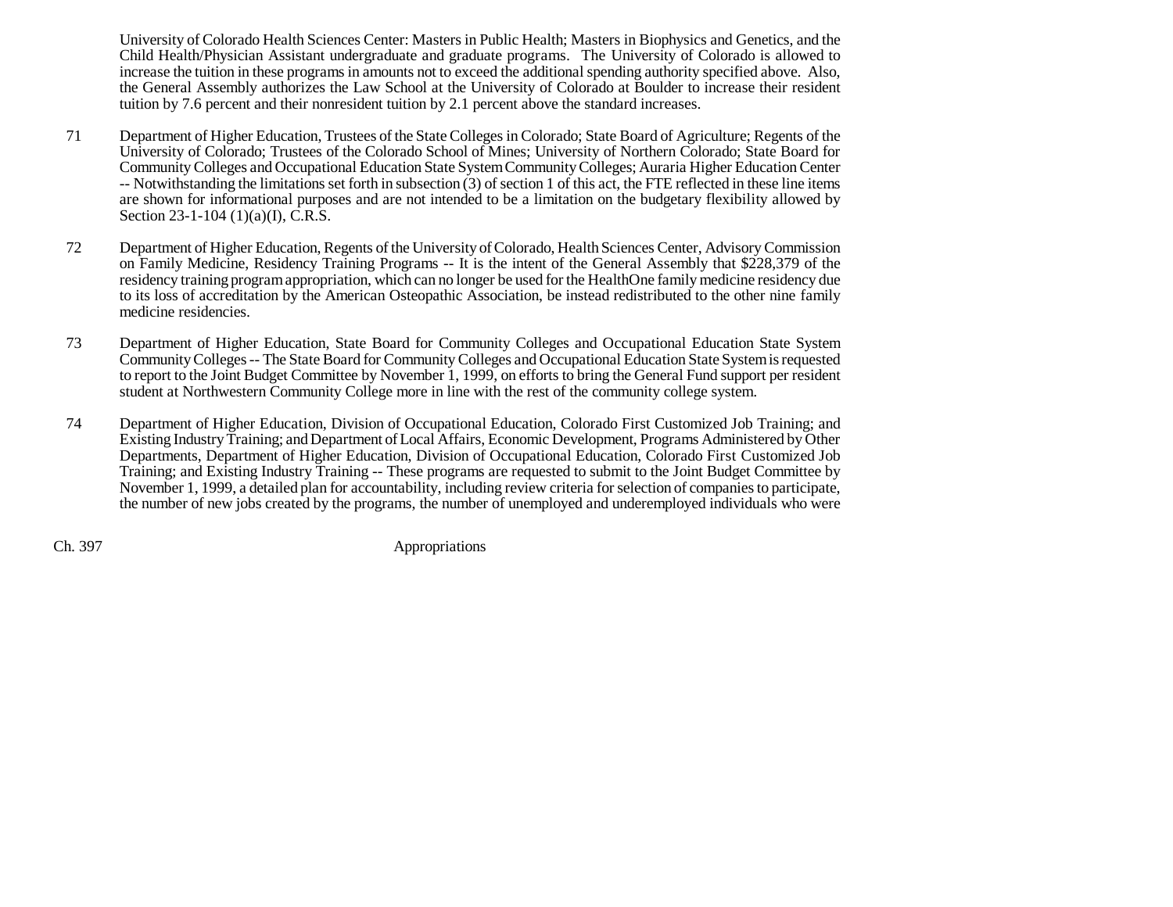University of Colorado Health Sciences Center: Masters in Public Health; Masters in Biophysics and Genetics, and the Child Health/Physician Assistant undergraduate and graduate programs. The University of Colorado is allowed to increase the tuition in these programs in amounts not to exceed the additional spending authority specified above. Also, the General Assembly authorizes the Law School at the University of Colorado at Boulder to increase their resident tuition by 7.6 percent and their nonresident tuition by 2.1 percent above the standard increases.

- 71 Department of Higher Education, Trustees of the State Colleges in Colorado; State Board of Agriculture; Regents of the University of Colorado; Trustees of the Colorado School of Mines; University of Northern Colorado; State Board for Community Colleges and Occupational Education State System Community Colleges; Auraria Higher Education Center -- Notwithstanding the limitations set forth in subsection (3) of section 1 of this act, the FTE reflected in these line items are shown for informational purposes and are not intended to be a limitation on the budgetary flexibility allowed by Section 23-1-104 (1)(a)(I), C.R.S.
- 72 Department of Higher Education, Regents of the University of Colorado, Health Sciences Center, Advisory Commission on Family Medicine, Residency Training Programs -- It is the intent of the General Assembly that \$228,379 of the residency training program appropriation, which can no longer be used for the HealthOne family medicine residency due to its loss of accreditation by the American Osteopathic Association, be instead redistributed to the other nine family medicine residencies.
- 73 Department of Higher Education, State Board for Community Colleges and Occupational Education State System Community Colleges -- The State Board for Community Colleges and Occupational Education State System is requested to report to the Joint Budget Committee by November 1, 1999, on efforts to bring the General Fund support per resident student at Northwestern Community College more in line with the rest of the community college system.
- 74 Department of Higher Education, Division of Occupational Education, Colorado First Customized Job Training; and Existing Industry Training; and Department of Local Affairs, Economic Development, Programs Administered by Other Departments, Department of Higher Education, Division of Occupational Education, Colorado First Customized Job Training; and Existing Industry Training -- These programs are requested to submit to the Joint Budget Committee by November 1, 1999, a detailed plan for accountability, including review criteria for selection of companies to participate, the number of new jobs created by the programs, the number of unemployed and underemployed individuals who were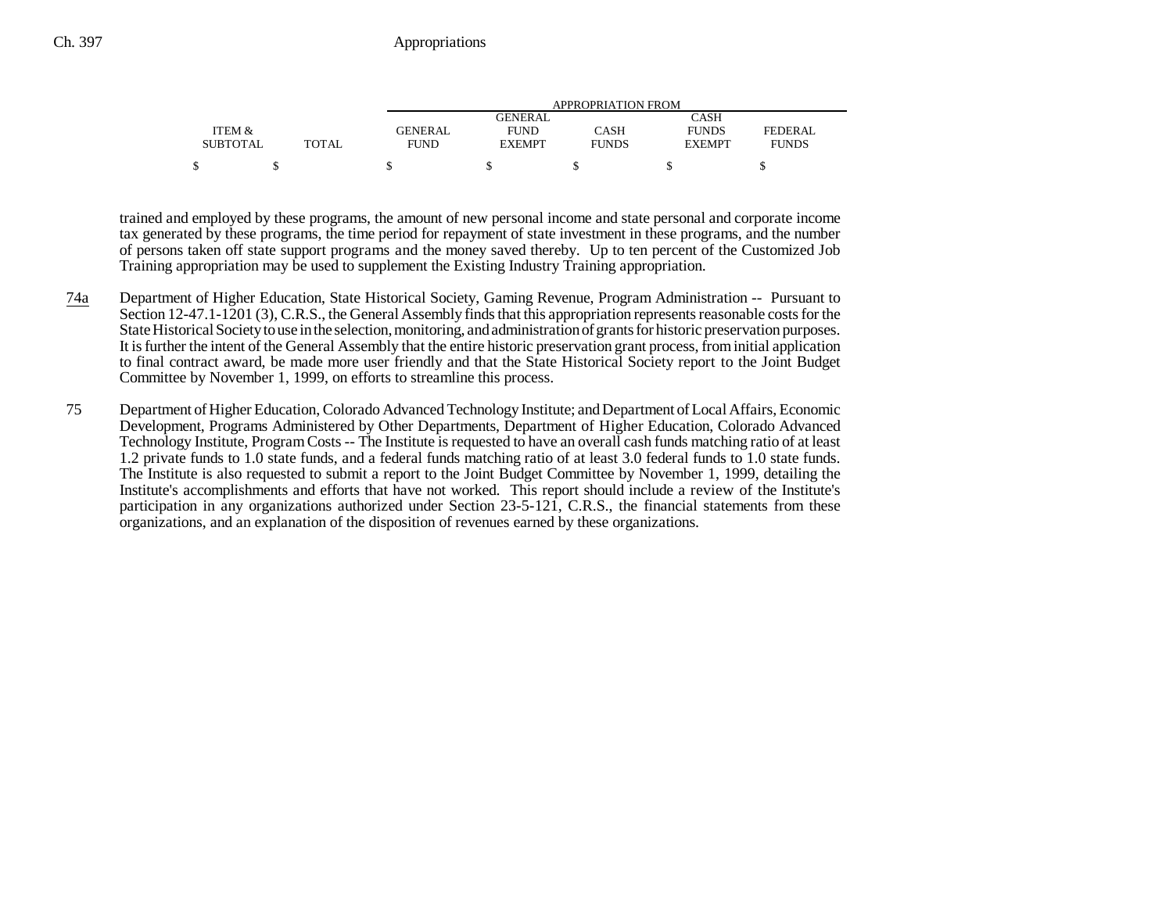|                 |              | APPROPRIATION FROM |               |              |               |              |
|-----------------|--------------|--------------------|---------------|--------------|---------------|--------------|
|                 |              |                    | GENERAL       |              | CASH          |              |
| ITEM &          |              | <b>GENERAL</b>     | <b>FUND</b>   | CASH         | <b>FUNDS</b>  | FEDERAL      |
| <b>SUBTOTAL</b> | <b>TOTAL</b> | FUND               | <b>EXEMPT</b> | <b>FUNDS</b> | <b>EXEMPT</b> | <b>FUNDS</b> |
|                 |              |                    |               |              |               |              |

trained and employed by these programs, the amount of new personal income and state personal and corporate income tax generated by these programs, the time period for repayment of state investment in these programs, and the number of persons taken off state support programs and the money saved thereby. Up to ten percent of the Customized Job Training appropriation may be used to supplement the Existing Industry Training appropriation.

- 74a Department of Higher Education, State Historical Society, Gaming Revenue, Program Administration -- Pursuant to Section 12-47.1-1201 (3), C.R.S., the General Assembly finds that this appropriation represents reasonable costs for the State Historical Society to use in the selection, monitoring, and administration of grants for historic preservation purposes. It is further the intent of the General Assembly that the entire historic preservation grant process, from initial application to final contract award, be made more user friendly and that the State Historical Society report to the Joint Budget Committee by November 1, 1999, on efforts to streamline this process.
- 75 Department of Higher Education, Colorado Advanced Technology Institute; and Department of Local Affairs, Economic Development, Programs Administered by Other Departments, Department of Higher Education, Colorado Advanced Technology Institute, Program Costs -- The Institute is requested to have an overall cash funds matching ratio of at least 1.2 private funds to 1.0 state funds, and a federal funds matching ratio of at least 3.0 federal funds to 1.0 state funds. The Institute is also requested to submit a report to the Joint Budget Committee by November 1, 1999, detailing the Institute's accomplishments and efforts that have not worked. This report should include a review of the Institute's participation in any organizations authorized under Section 23-5-121, C.R.S., the financial statements from these organizations, and an explanation of the disposition of revenues earned by these organizations.